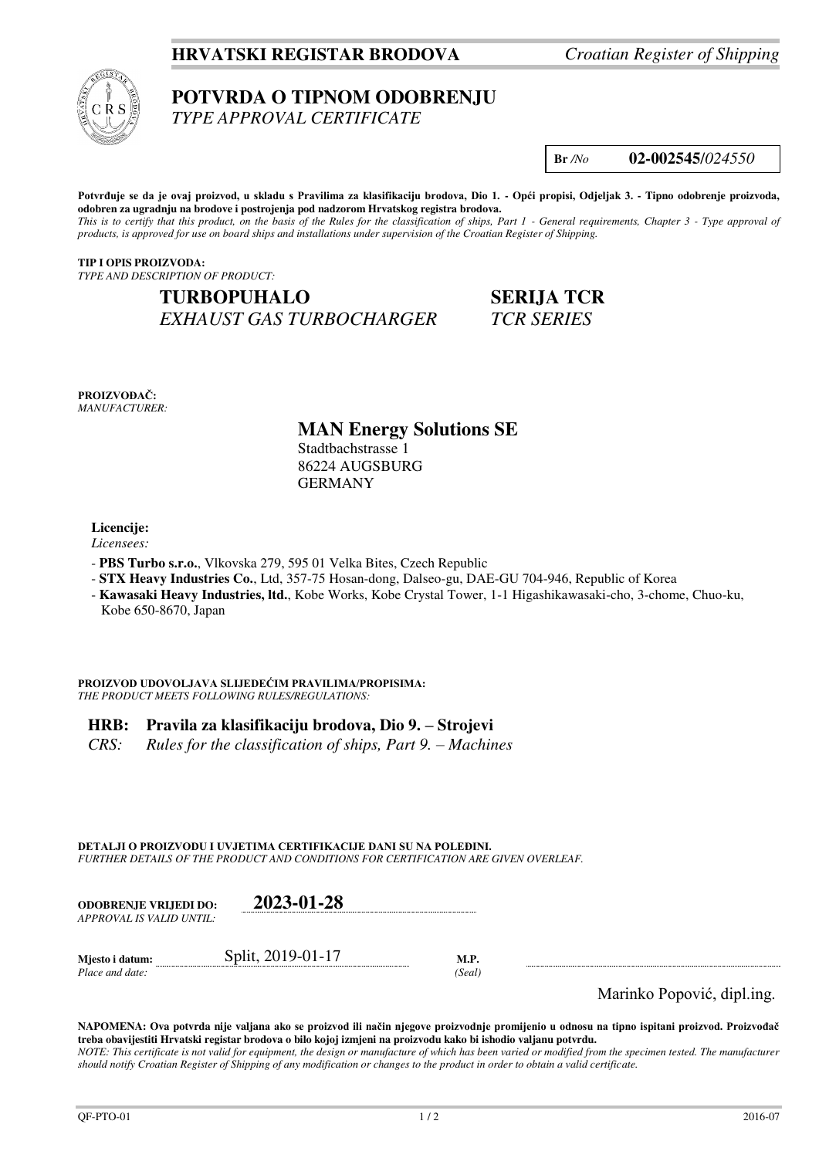## **HRVATSKI REGISTAR BRODOVA** *Croatian Register of Shipping*



# **POTVRDA O TIPNOM ODOBRENJU**

*TYPE APPROVAL CERTIFICATE* 

**Br** */No* **02-002545**/*024550*

**Potvrđuje se da je ovaj proizvod, u skladu s Pravilima za klasifikaciju brodova, Dio 1. - Opći propisi, Odjeljak 3. - Tipno odobrenje proizvoda, odobren za ugradnju na brodove i postrojenja pod nadzorom Hrvatskog registra brodova.**  *This is to certify that this product, on the basis of the Rules for the classification of ships, Part 1 - General requirements, Chapter 3 - Type approval of products, is approved for use on board ships and installations under supervision of the Croatian Register of Shipping.* 

**TIP I OPIS PROIZVODA:** *TYPE AND DESCRIPTION OF PRODUCT:* 

**TURBOPUHALO SERIJA TCR** *EXHAUST GAS TURBOCHARGER TCR SERIES* 

**PROIZVOĐAČ:** *MANUFACTURER:*

# **MAN Energy Solutions SE**

Stadtbachstrasse 1 86224 AUGSBURG GERMANY

**Licencije:** 

*Licensees:*

- **PBS Turbo s.r.o.**, Vlkovska 279, 595 01 Velka Bites, Czech Republic
- **STX Heavy Industries Co.**, Ltd, 357-75 Hosan-dong, Dalseo-gu, DAE-GU 704-946, Republic of Korea
- **Kawasaki Heavy Industries, ltd.**, Kobe Works, Kobe Crystal Tower, 1-1 Higashikawasaki-cho, 3-chome, Chuo-ku, Kobe 650-8670, Japan

**PROIZVOD UDOVOLJAVA SLIJEDEĆIM PRAVILIMA/PROPISIMA:** *THE PRODUCT MEETS FOLLOWING RULES/REGULATIONS:* 

### **HRB: Pravila za klasifikaciju brodova, Dio 9. – Strojevi**

*CRS: Rules for the classification of ships, Part 9. – Machines* 

**DETALJI O PROIZVODU I UVJETIMA CERTIFIKACIJE DANI SU NA POLEĐINI.**

*FURTHER DETAILS OF THE PRODUCT AND CONDITIONS FOR CERTIFICATION ARE GIVEN OVERLEAF.* 

| <b>ODOBRENJE VRLJEDI DO:</b><br>APPROVAL IS VALID UNTIL: | 2023-01-28        |        |                            |
|----------------------------------------------------------|-------------------|--------|----------------------------|
| Mjesto i datum:                                          | Split, 2019-01-17 | M.P.   |                            |
| Place and date:                                          |                   | (Seal) |                            |
|                                                          |                   |        | Marinko Popović, dipl.ing. |

**NAPOMENA: Ova potvrda nije valjana ako se proizvod ili način njegove proizvodnje promijenio u odnosu na tipno ispitani proizvod. Proizvođač treba obavijestiti Hrvatski registar brodova o bilo kojoj izmjeni na proizvodu kako bi ishodio valjanu potvrdu.** 

*NOTE: This certificate is not valid for equipment, the design or manufacture of which has been varied or modified from the specimen tested. The manufacturer should notify Croatian Register of Shipping of any modification or changes to the product in order to obtain a valid certificate.*